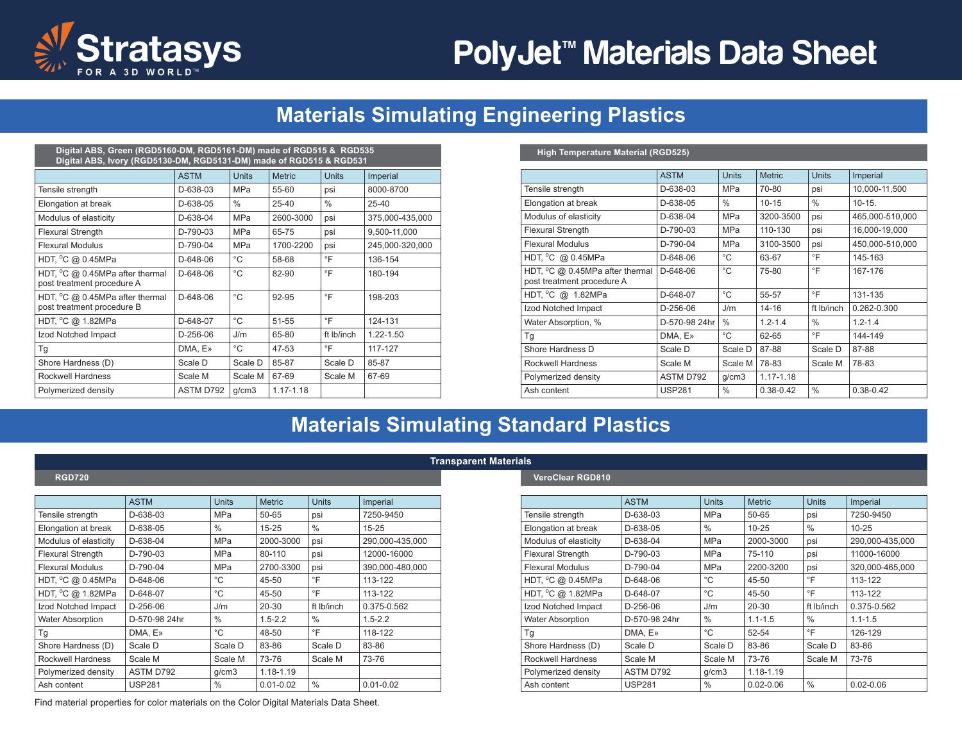

# PolyJet<sup>™</sup> Materials Data Sheet

# **Materials Simulating Engineering Plastics**

| Digital ABS, Green (RGD5160-DM, RGD5161-DM) made of RGD515 & RGD535<br>Digital ABS, Ivory (RGD5130-DM, RGD5131-DM) made of RGD515 & RGD531 |             |               |               |                |                 |  |  |  |
|--------------------------------------------------------------------------------------------------------------------------------------------|-------------|---------------|---------------|----------------|-----------------|--|--|--|
|                                                                                                                                            | <b>ASTM</b> | <b>Units</b>  | <b>Metric</b> | <b>Units</b>   | Imperial        |  |  |  |
| Tensile strength                                                                                                                           | D-638-03    | <b>MPa</b>    | 55-60         | psi            | 8000-8700       |  |  |  |
| Elongation at break                                                                                                                        | D-638-05    | $\frac{0}{0}$ | $25 - 40$     | $\frac{0}{0}$  | $25 - 40$       |  |  |  |
| Modulus of elasticity                                                                                                                      | $D-638-04$  | <b>MPa</b>    | 2600-3000     | psi            | 375,000-435,000 |  |  |  |
| <b>Flexural Strength</b>                                                                                                                   | $D-790-03$  | <b>MPa</b>    | 65-75         | psi            | 9,500-11,000    |  |  |  |
| <b>Flexural Modulus</b>                                                                                                                    | $D-790-04$  | <b>MPa</b>    | 1700-2200     | psi            | 245,000-320,000 |  |  |  |
| HDT, °C @ 0.45MPa                                                                                                                          | D-648-06    | °C            | 58-68         | $\overline{F}$ | 136-154         |  |  |  |
| HDT, °C @ 0.45MPa after thermal<br>post treatment procedure A                                                                              | D-648-06    | $^{\circ}$ C  | 82-90         | $\circ$ F      | 180-194         |  |  |  |
| HDT, °C @ 0.45MPa after thermal<br>post treatment procedure B                                                                              | $D-648-06$  | $^{\circ}C$   | 92-95         | °F             | 198-203         |  |  |  |
| HDT, °C @ 1.82MPa                                                                                                                          | $D-648-07$  | $^{\circ}C$   | 51-55         | °F             | 124-131         |  |  |  |
| Izod Notched Impact                                                                                                                        | $D-256-06$  | J/m           | 65-80         | ft Ib/inch     | $1.22 - 1.50$   |  |  |  |
| Tq                                                                                                                                         | DMA, E»     | °C            | 47-53         | °F             | 117-127         |  |  |  |
| Shore Hardness (D)                                                                                                                         | Scale D     | Scale D       | 85-87         | Scale D        | 85-87           |  |  |  |
| Rockwell Hardness                                                                                                                          | Scale M     | Scale M       | 67-69         | Scale M        | 67-69           |  |  |  |
| Polymerized density                                                                                                                        | ASTM D792   | q/cm3         | $1.17 - 1.18$ |                |                 |  |  |  |

#### **High Temperature Material (RGD525)**

|                                                               | <b>ASTM</b>    | <b>Units</b>  | <b>Metric</b> | <b>Units</b>  | Imperial        |
|---------------------------------------------------------------|----------------|---------------|---------------|---------------|-----------------|
| Tensile strength                                              | D-638-03       | MPa           | 70-80         | psi           | 10,000-11,500   |
| Elongation at break                                           | D-638-05       | $\frac{0}{0}$ | $10 - 15$     | $\frac{0}{0}$ | $10-15.$        |
| Modulus of elasticity                                         | D-638-04       | <b>MPa</b>    | 3200-3500     | psi           | 465,000-510,000 |
| <b>Flexural Strength</b>                                      | D-790-03       | <b>MPa</b>    | 110-130       | psi           | 16,000-19,000   |
| <b>Flexural Modulus</b>                                       | $D-790-04$     | <b>MPa</b>    | 3100-3500     | psi           | 450.000-510.000 |
| HDT, $^{\circ}$ C @ 0.45MPa                                   | D-648-06       | °C            | 63-67         | °F            | 145-163         |
| HDT, °C @ 0.45MPa after thermal<br>post treatment procedure A | $D - 648 - 06$ | °C            | 75-80         | $\circ$ F     | 167-176         |
| HDT, °C @ 1.82MPa                                             | D-648-07       | °C            | 55-57         | $\circ$ F     | 131-135         |
| Izod Notched Impact                                           | D-256-06       | J/m           | $14 - 16$     | ft Ib/inch    | 0.262-0.300     |
| Water Absorption, %                                           | D-570-98 24hr  | $\frac{0}{0}$ | $1, 2 - 1, 4$ | $\frac{0}{0}$ | $1.2 - 1.4$     |
| Tg                                                            | DMA, E»        | °C            | 62-65         | $\circ$ F     | 144-149         |
| Shore Hardness D                                              | Scale D        | Scale D       | 87-88         | Scale D       | 87-88           |
| Rockwell Hardness                                             | Scale M        | Scale M       | 78-83         | Scale M       | 78-83           |
| Polymerized density                                           | ASTM D792      | q/cm3         | $1.17 - 1.18$ |               |                 |
| Ash content                                                   | <b>USP281</b>  | $\%$          | $0.38 - 0.42$ | $\frac{0}{0}$ | $0.38 - 0.42$   |

## **Materials Simulating Standard Plastics**

|                          | <b>ASTM</b>   | <b>Units</b>  | <b>Metric</b> | <b>Units</b>  | Imperial        |
|--------------------------|---------------|---------------|---------------|---------------|-----------------|
| Tensile strength         | D-638-03      | <b>MPa</b>    | 50-65         | psi           | 7250-9450       |
| Elongation at break      | D-638-05      | $\%$          | $15 - 25$     | $\%$          | $15 - 25$       |
| Modulus of elasticity    | $D-638-04$    | <b>MPa</b>    | 2000-3000     | psi           | 290,000-435,000 |
| <b>Flexural Strength</b> | $D-790-03$    | <b>MPa</b>    | 80-110        | psi           | 12000-16000     |
| <b>Flexural Modulus</b>  | $D-790-04$    | <b>MPa</b>    | 2700-3300     | psi           | 390,000-480,000 |
| HDT, °C @ 0.45MPa        | D-648-06      | $^{\circ}C$   | 45-50         | °F            | 113-122         |
| HDT, °C @ 1.82MPa        | D-648-07      | °C            | 45-50         | $\circ$ F     | 113-122         |
| Izod Notched Impact      | D-256-06      | J/m           | $20 - 30$     | ft Ib/inch    | 0.375-0.562     |
| <b>Water Absorption</b>  | D-570-98 24hr | $\frac{0}{0}$ | $1.5 - 2.2$   | $\frac{0}{0}$ | $1.5 - 2.2$     |
| Tg                       | DMA, E»       | °C            | 48-50         | °F            | 118-122         |
| Shore Hardness (D)       | Scale D       | Scale D       | 83-86         | Scale D       | 83-86           |
| Rockwell Hardness        | Scale M       | Scale M       | 73-76         | Scale M       | 73-76           |
| Polymerized density      | ASTM D792     | q/cm3         | 1.18-1.19     |               |                 |
| Ash content              | <b>USP281</b> | $\%$          | $0.01 - 0.02$ | $\%$          | $0.01 - 0.02$   |

**Transparent Materials**

### **RGD720 VeroClear RGD810**

|                          | <b>ASTM</b>    | <b>Units</b>  | <b>Metric</b> | <b>Units</b>  | Imperial        |
|--------------------------|----------------|---------------|---------------|---------------|-----------------|
| Tensile strength         | D-638-03       | <b>MPa</b>    | $50 - 65$     | psi           | 7250-9450       |
| Elongation at break      | D-638-05       | $\frac{0}{0}$ | $10 - 25$     | $\frac{0}{0}$ | $10 - 25$       |
| Modulus of elasticity    | $D - 638 - 04$ | <b>MPa</b>    | 2000-3000     | psi           | 290.000-435.000 |
| <b>Flexural Strength</b> | D-790-03       | <b>MPa</b>    | 75-110        | psi           | 11000-16000     |
| <b>Flexural Modulus</b>  | D-790-04       | <b>MPa</b>    | 2200-3200     | psi           | 320.000-465.000 |
| HDT, °C @ 0.45MPa        | $D - 648 - 06$ | $^{\circ}C$   | 45-50         | °F            | 113-122         |
| HDT, °C @ 1.82MPa        | D-648-07       | $^{\circ}$ C  | 45-50         | °F            | 113-122         |
| Izod Notched Impact      | $D-256-06$     | J/m           | $20 - 30$     | ft Ib/inch    | 0.375-0.562     |
| <b>Water Absorption</b>  | D-570-98 24hr  | $\%$          | $1.1 - 1.5$   | $\%$          | $1.1 - 1.5$     |
| Tq                       | DMA, E»        | °C            | 52-54         | °F            | 126-129         |
| Shore Hardness (D)       | Scale D        | Scale D       | 83-86         | Scale D       | 83-86           |
| Rockwell Hardness        | Scale M        | Scale M       | 73-76         | Scale M       | 73-76           |
| Polymerized density      | ASTM D792      | q/cm3         | 1.18-1.19     |               |                 |
| Ash content              | <b>USP281</b>  | $\frac{0}{0}$ | $0.02 - 0.06$ | $\%$          | $0.02 - 0.06$   |

Find material properties for color materials on the Color Digital Materials Data Sheet.